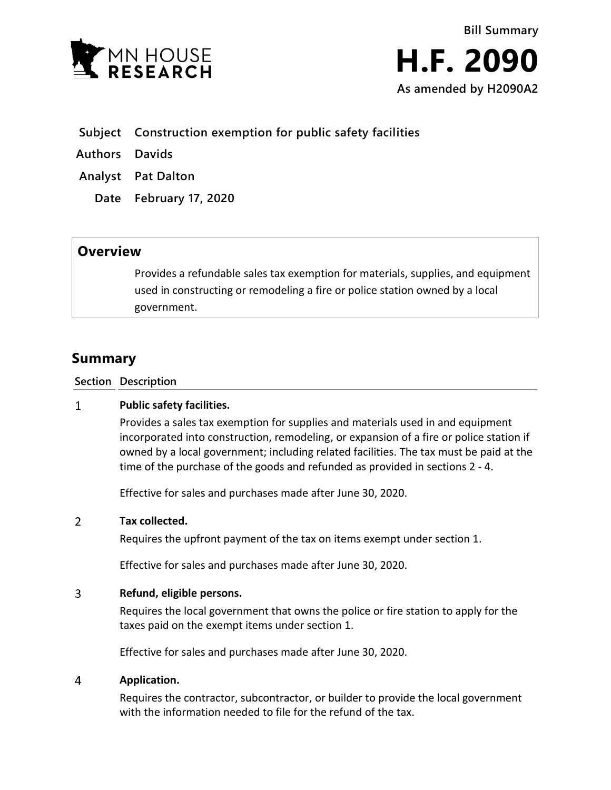

- **Subject Construction exemption for public safety facilities**
- **Authors Davids**
- **Analyst Pat Dalton**
	- **Date February 17, 2020**

# **Overview**

Provides a refundable sales tax exemption for materials, supplies, and equipment used in constructing or remodeling a fire or police station owned by a local government.

# **Summary**

**Section Description**

## $\mathbf{1}$ **Public safety facilities.**

Provides a sales tax exemption for supplies and materials used in and equipment incorporated into construction, remodeling, or expansion of a fire or police station if owned by a local government; including related facilities. The tax must be paid at the time of the purchase of the goods and refunded as provided in sections 2 - 4.

Effective for sales and purchases made after June 30, 2020.

#### $\overline{2}$ **Tax collected.**

Requires the upfront payment of the tax on items exempt under section 1.

Effective for sales and purchases made after June 30, 2020.

## 3 **Refund, eligible persons.**

Requires the local government that owns the police or fire station to apply for the taxes paid on the exempt items under section 1.

Effective for sales and purchases made after June 30, 2020.

#### $\overline{4}$ **Application.**

Requires the contractor, subcontractor, or builder to provide the local government with the information needed to file for the refund of the tax.